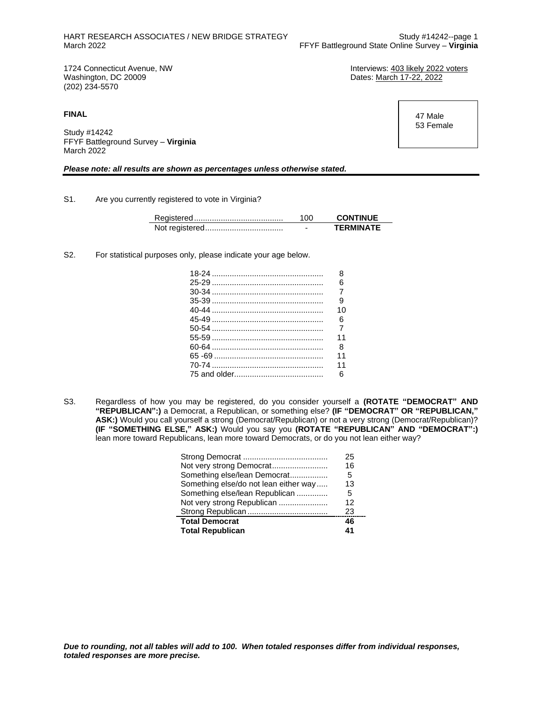Dates: March 17-22, 2022

1724 Connecticut Avenue, NW **Interviews: 403 likely 2022 voters**<br>
Washington, DC 20009<br>
Unterviews: 403 likely 2022 (202) 234-5570

**FINAL**

Study #14242 FFYF Battleground Survey – **Virginia** March 2022

#### *Please note: all results are shown as percentages unless otherwise stated.*

S1. Are you currently registered to vote in Virginia?

| 100 | <b>CONTINUE</b>  |
|-----|------------------|
|     | <b>TERMINATE</b> |

S2. For statistical purposes only, please indicate your age below.

L,

| 8  |
|----|
| 6  |
|    |
| 9  |
| 10 |
| 6  |
|    |
| 11 |
| 8  |
| 11 |
| 11 |
| 6  |
|    |

S3. Regardless of how you may be registered, do you consider yourself a **(ROTATE "DEMOCRAT" AND "REPUBLICAN":)** a Democrat, a Republican, or something else? **(IF "DEMOCRAT" OR "REPUBLICAN," ASK:)** Would you call yourself a strong (Democrat/Republican) or not a very strong (Democrat/Republican)? **(IF "SOMETHING ELSE," ASK:)** Would you say you **(ROTATE "REPUBLICAN" AND "DEMOCRAT":)** lean more toward Republicans, lean more toward Democrats, or do you not lean either way?

|                                       | 25 |
|---------------------------------------|----|
| Not very strong Democrat              | 16 |
| Something else/lean Democrat          | 5  |
| Something else/do not lean either way | 13 |
| Something else/lean Republican        | 5  |
| Not very strong Republican            | 12 |
|                                       | 23 |
| <b>Total Democrat</b>                 | 46 |
| <b>Total Republican</b>               | 41 |

 47 Male 53 Female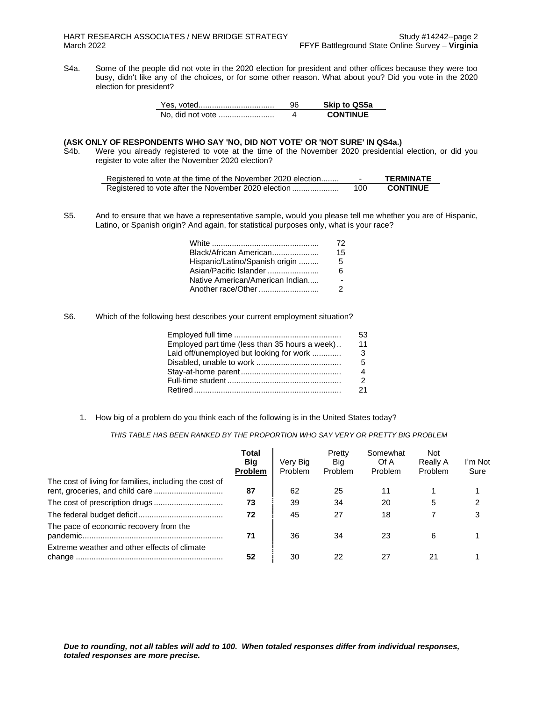S4a. Some of the people did not vote in the 2020 election for president and other offices because they were too busy, didn't like any of the choices, or for some other reason. What about you? Did you vote in the 2020 election for president?

|                  | 96 | <b>Skip to QS5a</b> |
|------------------|----|---------------------|
| No, did not vote |    | <b>CONTINUE</b>     |

## **(ASK ONLY OF RESPONDENTS WHO SAY 'NO, DID NOT VOTE' OR 'NOT SURE' IN QS4a.)**

S4b. Were you already registered to vote at the time of the November 2020 presidential election, or did you register to vote after the November 2020 election?

| Registered to vote at the time of the November 2020 election |     | TERMINATE       |
|--------------------------------------------------------------|-----|-----------------|
|                                                              | 100 | <b>CONTINUE</b> |

S5. And to ensure that we have a representative sample, would you please tell me whether you are of Hispanic, Latino, or Spanish origin? And again, for statistical purposes only, what is your race?

|                                 | 72 |
|---------------------------------|----|
| Black/African American          | 15 |
| Hispanic/Latino/Spanish origin  | 5  |
| Asian/Pacific Islander          | 6  |
| Native American/American Indian |    |
| Another race/Other              | 2  |

S6. Which of the following best describes your current employment situation?

|                                                | 53 |
|------------------------------------------------|----|
| Employed part time (less than 35 hours a week) | 11 |
| Laid off/unemployed but looking for work       | -3 |
|                                                | 5  |
|                                                |    |
|                                                | 2  |
|                                                | 21 |

1. How big of a problem do you think each of the following is in the United States today?

*THIS TABLE HAS BEEN RANKED BY THE PROPORTION WHO SAY VERY OR PRETTY BIG PROBLEM*

|                                                        | Total<br><b>Big</b><br><b>Problem</b> | Very Big<br>Problem | Pretty<br>Big<br>Problem | Somewhat<br>Of A<br>Problem | <b>Not</b><br><b>Really A</b><br>Problem | I'm Not<br><b>Sure</b> |
|--------------------------------------------------------|---------------------------------------|---------------------|--------------------------|-----------------------------|------------------------------------------|------------------------|
| The cost of living for families, including the cost of | 87                                    | 62                  | 25                       | 11                          |                                          |                        |
|                                                        | 73                                    | 39                  | 34                       | 20                          | 5                                        |                        |
|                                                        | 72                                    | 45                  | 27                       | 18                          |                                          | 3                      |
| The pace of economic recovery from the                 | 71                                    | 36                  | 34                       | 23                          | 6                                        |                        |
| Extreme weather and other effects of climate           | 52                                    | 30                  | 22                       | 27                          |                                          |                        |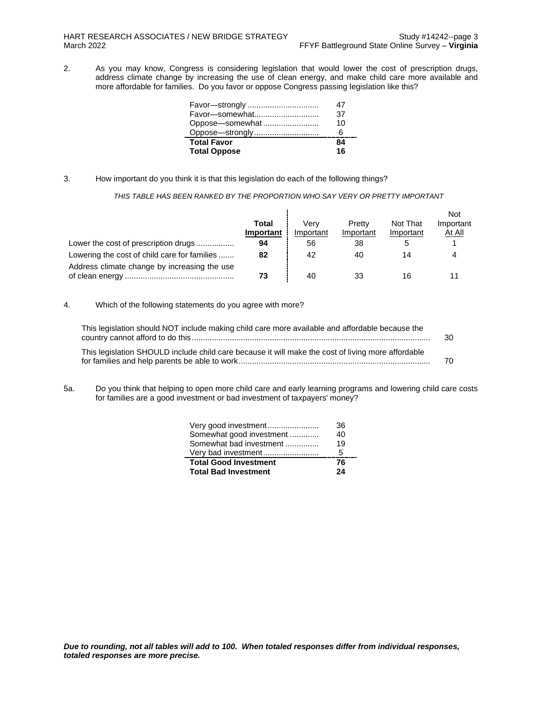2. As you may know, Congress is considering legislation that would lower the cost of prescription drugs, address climate change by increasing the use of clean energy, and make child care more available and more affordable for families. Do you favor or oppose Congress passing legislation like this?

| Favor-strongly      |    |
|---------------------|----|
| Favor-somewhat      | 37 |
| Oppose-somewhat     | 10 |
|                     |    |
| <b>Total Favor</b>  | 84 |
| <b>Total Oppose</b> | 16 |

3. How important do you think it is that this legislation do each of the following things?

*THIS TABLE HAS BEEN RANKED BY THE PROPORTION WHO SAY VERY OR PRETTY IMPORTANT*

|                                              |                    |                   |                     |                       | <b>Not</b>          |
|----------------------------------------------|--------------------|-------------------|---------------------|-----------------------|---------------------|
|                                              | Total<br>Important | Verv<br>Important | Pretty<br>Important | Not That<br>Important | Important<br>At All |
| Lower the cost of prescription drugs         | 94                 | 56                | 38                  |                       |                     |
| Lowering the cost of child care for families | 82                 | 42                | 40                  | 14                    |                     |
| Address climate change by increasing the use | 73                 | 40                | 33                  | 16                    |                     |

4. Which of the following statements do you agree with more?

| This legislation should NOT include making child care more available and affordable because the    | 30 |
|----------------------------------------------------------------------------------------------------|----|
| This legislation SHOULD include child care because it will make the cost of living more affordable | 70 |

5a. Do you think that helping to open more child care and early learning programs and lowering child care costs for families are a good investment or bad investment of taxpayers' money?

| Very good investment         | 36. |
|------------------------------|-----|
| Somewhat good investment     | 40  |
| Somewhat bad investment      | 19  |
| Very bad investment          | 5   |
| <b>Total Good Investment</b> | 76  |
| <b>Total Bad Investment</b>  | 24  |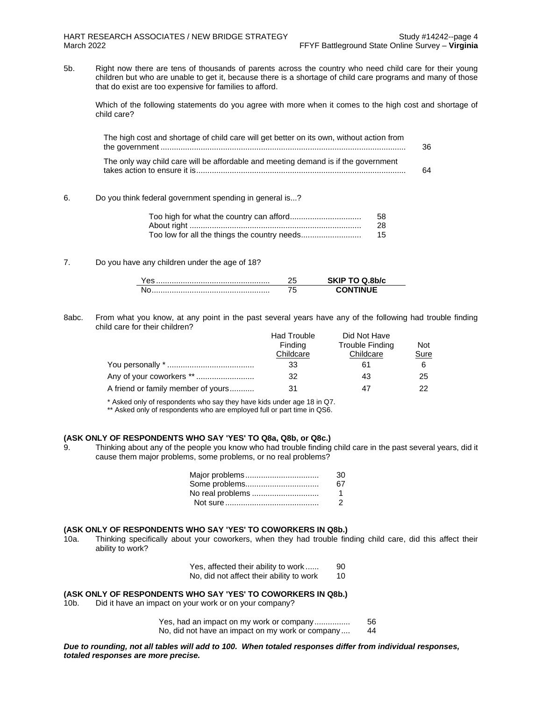5b. Right now there are tens of thousands of parents across the country who need child care for their young children but who are unable to get it, because there is a shortage of child care programs and many of those that do exist are too expensive for families to afford.

Which of the following statements do you agree with more when it comes to the high cost and shortage of child care?

| The high cost and shortage of child care will get better on its own, without action from | 36 |
|------------------------------------------------------------------------------------------|----|
| The only way child care will be affordable and meeting demand is if the government       | 64 |

#### 6. Do you think federal government spending in general is...?

| 58 |
|----|
| 28 |
| 15 |

#### 7. Do you have any children under the age of 18?

8abc. From what you know, at any point in the past several years have any of the following had trouble finding child care for their children?

|                                    | <b>Had Trouble</b> | Did Not Have    |      |
|------------------------------------|--------------------|-----------------|------|
|                                    | Finding            | Trouble Finding | Not  |
|                                    | Childcare          | Childcare       | Sure |
|                                    | 33                 | 61              | 6    |
| Any of your coworkers **           | 32                 | 43              | 25   |
| A friend or family member of yours | 31                 |                 | つつ   |

\* Asked only of respondents who say they have kids under age 18 in Q7.

\*\* Asked only of respondents who are employed full or part time in QS6.

#### **(ASK ONLY OF RESPONDENTS WHO SAY 'YES' TO Q8a, Q8b, or Q8c.)**

9. Thinking about any of the people you know who had trouble finding child care in the past several years, did it cause them major problems, some problems, or no real problems?

|                  | 30. |
|------------------|-----|
| Some problems    | 67. |
| No real problems |     |
|                  | - 2 |

#### **(ASK ONLY OF RESPONDENTS WHO SAY 'YES' TO COWORKERS IN Q8b.)**

10a. Thinking specifically about your coworkers, when they had trouble finding child care, did this affect their ability to work?

| Yes, affected their ability to work      | 90 |
|------------------------------------------|----|
| No, did not affect their ability to work | 10 |

#### **(ASK ONLY OF RESPONDENTS WHO SAY 'YES' TO COWORKERS IN Q8b.)**

10b. Did it have an impact on your work or on your company?

Yes, had an impact on my work or company................ 56 No, did not have an impact on my work or company .... 44

*Due to rounding, not all tables will add to 100. When totaled responses differ from individual responses, totaled responses are more precise.*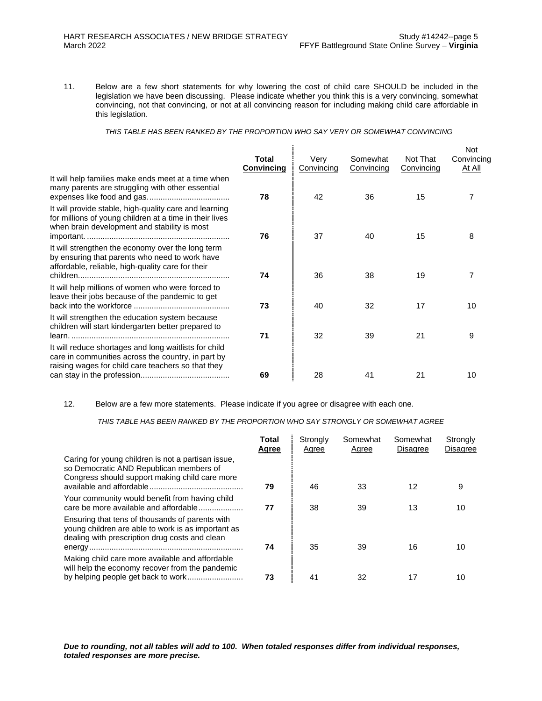11. Below are a few short statements for why lowering the cost of child care SHOULD be included in the legislation we have been discussing. Please indicate whether you think this is a very convincing, somewhat convincing, not that convincing, or not at all convincing reason for including making child care affordable in this legislation.

*THIS TABLE HAS BEEN RANKED BY THE PROPORTION WHO SAY VERY OR SOMEWHAT CONVINCING*

|                                                                                                                                                                   | <b>Total</b><br>Convincing | Very<br>Convincing | Somewhat<br>Convincing | Not That<br>Convincing | <b>Not</b><br>Convincing<br><u>At All</u> |
|-------------------------------------------------------------------------------------------------------------------------------------------------------------------|----------------------------|--------------------|------------------------|------------------------|-------------------------------------------|
| It will help families make ends meet at a time when<br>many parents are struggling with other essential                                                           | 78                         | 42                 | 36                     | 15                     | 7                                         |
| It will provide stable, high-quality care and learning<br>for millions of young children at a time in their lives<br>when brain development and stability is most | 76                         | 37                 | 40                     | 15                     | 8                                         |
| It will strengthen the economy over the long term<br>by ensuring that parents who need to work have<br>affordable, reliable, high-quality care for their          | 74                         | 36                 | 38                     | 19                     | 7                                         |
| It will help millions of women who were forced to<br>leave their jobs because of the pandemic to get                                                              | 73                         | 40                 | 32                     | 17                     | 10                                        |
| It will strengthen the education system because<br>children will start kindergarten better prepared to                                                            | 71                         | 32                 | 39                     | 21                     | 9                                         |
| It will reduce shortages and long waitlists for child<br>care in communities across the country, in part by<br>raising wages for child care teachers so that they | 69                         | 28                 |                        | 21                     |                                           |
|                                                                                                                                                                   |                            |                    | 41                     |                        | 10                                        |

12. Below are a few more statements. Please indicate if you agree or disagree with each one.

*THIS TABLE HAS BEEN RANKED BY THE PROPORTION WHO SAY STRONGLY OR SOMEWHAT AGREE*

|                                                                                                                                                         | Total<br>Agree | Strongly<br>Agree | Somewhat<br>Agree | Somewhat<br><b>Disagree</b> | Strongly<br><b>Disagree</b> |
|---------------------------------------------------------------------------------------------------------------------------------------------------------|----------------|-------------------|-------------------|-----------------------------|-----------------------------|
| Caring for young children is not a partisan issue,<br>so Democratic AND Republican members of<br>Congress should support making child care more         | 79             | 46                | 33                | 12                          | 9                           |
| Your community would benefit from having child<br>care be more available and affordable                                                                 | 77             | 38                | 39                | 13                          | 10                          |
| Ensuring that tens of thousands of parents with<br>young children are able to work is as important as<br>dealing with prescription drug costs and clean | 74             | 35                | 39                | 16                          | 10                          |
| Making child care more available and affordable<br>will help the economy recover from the pandemic                                                      | 73             | 41                | 32                | 17                          | 10                          |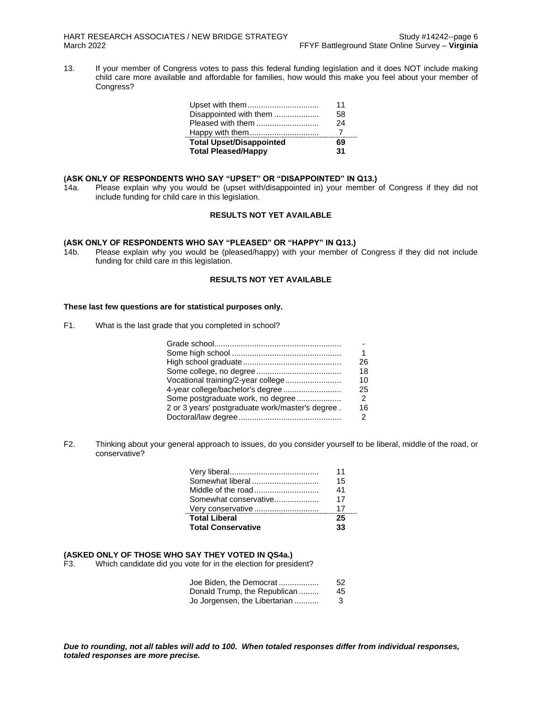13. If your member of Congress votes to pass this federal funding legislation and it does NOT include making child care more available and affordable for families, how would this make you feel about your member of Congress?

| Upset with them                 | 11 |
|---------------------------------|----|
| Disappointed with them          | 58 |
| Pleased with them               | 24 |
| Happy with them                 |    |
| <b>Total Upset/Disappointed</b> | 69 |
| <b>Total Pleased/Happy</b>      | 31 |

### **(ASK ONLY OF RESPONDENTS WHO SAY "UPSET" OR "DISAPPOINTED" IN Q13.)**

14a. Please explain why you would be (upset with/disappointed in) your member of Congress if they did not include funding for child care in this legislation.

## **RESULTS NOT YET AVAILABLE**

#### **(ASK ONLY OF RESPONDENTS WHO SAY "PLEASED" OR "HAPPY" IN Q13.)**

14b. Please explain why you would be (pleased/happy) with your member of Congress if they did not include funding for child care in this legislation.

## **RESULTS NOT YET AVAILABLE**

## **These last few questions are for statistical purposes only.**

F1. What is the last grade that you completed in school?

|                                                  | 26            |
|--------------------------------------------------|---------------|
|                                                  | 18            |
| Vocational training/2-year college               | 10            |
| 4-year college/bachelor's degree                 | 25            |
| Some postgraduate work, no degree                | $\mathcal{P}$ |
| 2 or 3 years' postgraduate work/master's degree. | 16            |
|                                                  | $\mathcal{P}$ |

F2. Thinking about your general approach to issues, do you consider yourself to be liberal, middle of the road, or conservative?

|                           | 11  |
|---------------------------|-----|
| Somewhat liberal          | 15  |
| Middle of the road        | 41  |
| Somewhat conservative     | 17  |
| Very conservative         | -17 |
| <b>Total Liberal</b>      | 25  |
| <b>Total Conservative</b> | 33  |

## **(ASKED ONLY OF THOSE WHO SAY THEY VOTED IN QS4a.)**

Which candidate did you vote for in the election for president?

| Joe Biden. the Democrat       | 52  |
|-------------------------------|-----|
| Donald Trump, the Republican  | 45. |
| Jo Jorgensen, the Libertarian | 3   |

*Due to rounding, not all tables will add to 100. When totaled responses differ from individual responses, totaled responses are more precise.*